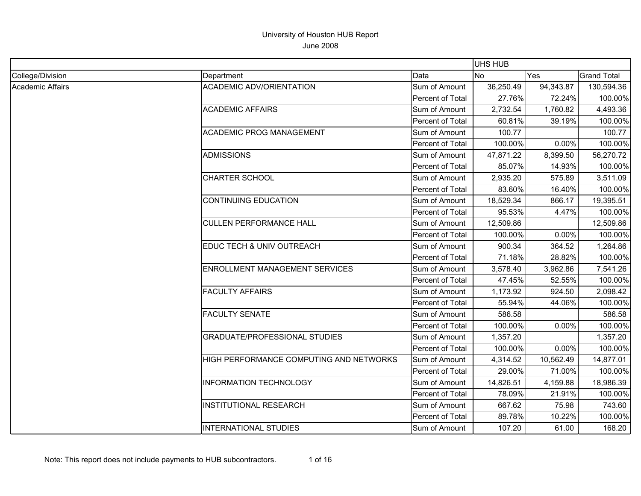|                  |                                                |                         | UHS HUB   |           |                    |
|------------------|------------------------------------------------|-------------------------|-----------|-----------|--------------------|
| College/Division | Department                                     | Data                    | <b>No</b> | Yes       | <b>Grand Total</b> |
| Academic Affairs | <b>ACADEMIC ADV/ORIENTATION</b>                | Sum of Amount           | 36,250.49 | 94,343.87 | 130,594.36         |
|                  |                                                | Percent of Total        | 27.76%    | 72.24%    | 100.00%            |
|                  | <b>ACADEMIC AFFAIRS</b>                        | Sum of Amount           | 2,732.54  | 1,760.82  | 4,493.36           |
|                  |                                                | <b>Percent of Total</b> | 60.81%    | 39.19%    | 100.00%            |
|                  | <b>ACADEMIC PROG MANAGEMENT</b>                | Sum of Amount           | 100.77    |           | 100.77             |
|                  |                                                | Percent of Total        | 100.00%   | 0.00%     | 100.00%            |
|                  | ADMISSIONS                                     | Sum of Amount           | 47,871.22 | 8,399.50  | 56,270.72          |
|                  |                                                | Percent of Total        | 85.07%    | 14.93%    | 100.00%            |
|                  | <b>CHARTER SCHOOL</b>                          | Sum of Amount           | 2,935.20  | 575.89    | 3,511.09           |
|                  |                                                | Percent of Total        | 83.60%    | 16.40%    | 100.00%            |
|                  | <b>CONTINUING EDUCATION</b>                    | Sum of Amount           | 18,529.34 | 866.17    | 19,395.51          |
|                  |                                                | <b>Percent of Total</b> | 95.53%    | 4.47%     | 100.00%            |
|                  | <b>CULLEN PERFORMANCE HALL</b>                 | Sum of Amount           | 12,509.86 |           | 12,509.86          |
|                  |                                                | <b>Percent of Total</b> | 100.00%   | 0.00%     | 100.00%            |
|                  | EDUC TECH & UNIV OUTREACH                      | Sum of Amount           | 900.34    | 364.52    | 1,264.86           |
|                  |                                                | <b>Percent of Total</b> | 71.18%    | 28.82%    | 100.00%            |
|                  | <b>ENROLLMENT MANAGEMENT SERVICES</b>          | Sum of Amount           | 3,578.40  | 3,962.86  | 7,541.26           |
|                  |                                                | Percent of Total        | 47.45%    | 52.55%    | 100.00%            |
|                  | <b>FACULTY AFFAIRS</b>                         | Sum of Amount           | 1,173.92  | 924.50    | 2,098.42           |
|                  |                                                | Percent of Total        | 55.94%    | 44.06%    | 100.00%            |
|                  | <b>FACULTY SENATE</b>                          | Sum of Amount           | 586.58    |           | 586.58             |
|                  |                                                | Percent of Total        | 100.00%   | 0.00%     | 100.00%            |
|                  | <b>GRADUATE/PROFESSIONAL STUDIES</b>           | Sum of Amount           | 1,357.20  |           | 1,357.20           |
|                  |                                                | Percent of Total        | 100.00%   | 0.00%     | 100.00%            |
|                  | <b>HIGH PERFORMANCE COMPUTING AND NETWORKS</b> | Sum of Amount           | 4,314.52  | 10,562.49 | 14,877.01          |
|                  |                                                | Percent of Total        | 29.00%    | 71.00%    | 100.00%            |
|                  | <b>INFORMATION TECHNOLOGY</b>                  | Sum of Amount           | 14,826.51 | 4,159.88  | 18,986.39          |
|                  |                                                | <b>Percent of Total</b> | 78.09%    | 21.91%    | 100.00%            |
|                  | <b>INSTITUTIONAL RESEARCH</b>                  | Sum of Amount           | 667.62    | 75.98     | 743.60             |
|                  |                                                | <b>Percent of Total</b> | 89.78%    | 10.22%    | 100.00%            |
|                  | <b>INTERNATIONAL STUDIES</b>                   | Sum of Amount           | 107.20    | 61.00     | 168.20             |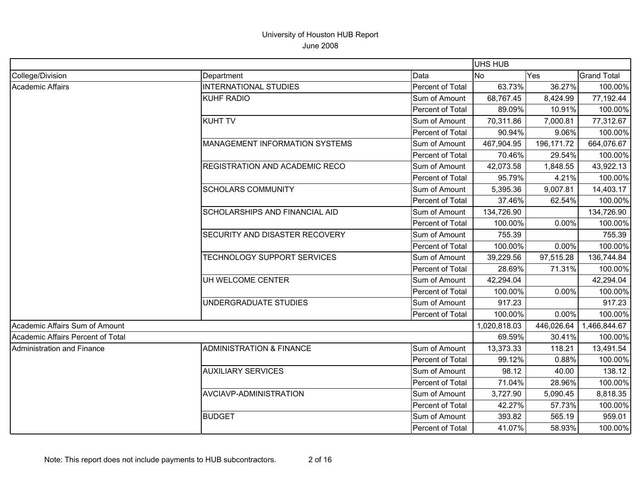|                                   |                                       |                         | <b>UHS HUB</b> |            |                    |
|-----------------------------------|---------------------------------------|-------------------------|----------------|------------|--------------------|
| College/Division                  | Department                            | Data                    | No.            | Yes        | <b>Grand Total</b> |
| <b>Academic Affairs</b>           | <b>INTERNATIONAL STUDIES</b>          | Percent of Total        | 63.73%         | 36.27%     | 100.00%            |
|                                   | <b>KUHF RADIO</b>                     | Sum of Amount           | 68,767.45      | 8,424.99   | 77,192.44          |
|                                   |                                       | Percent of Total        | 89.09%         | 10.91%     | 100.00%            |
|                                   | <b>KUHT TV</b>                        | Sum of Amount           | 70,311.86      | 7,000.81   | 77,312.67          |
|                                   |                                       | Percent of Total        | 90.94%         | 9.06%      | 100.00%            |
|                                   | <b>MANAGEMENT INFORMATION SYSTEMS</b> | Sum of Amount           | 467,904.95     | 196,171.72 | 664,076.67         |
|                                   |                                       | Percent of Total        | 70.46%         | 29.54%     | 100.00%            |
|                                   | <b>REGISTRATION AND ACADEMIC RECO</b> | Sum of Amount           | 42,073.58      | 1,848.55   | 43,922.13          |
|                                   |                                       | Percent of Total        | 95.79%         | 4.21%      | 100.00%            |
|                                   | <b>SCHOLARS COMMUNITY</b>             | Sum of Amount           | 5,395.36       | 9,007.81   | 14,403.17          |
|                                   |                                       | Percent of Total        | 37.46%         | 62.54%     | 100.00%            |
|                                   | <b>SCHOLARSHIPS AND FINANCIAL AID</b> | Sum of Amount           | 134,726.90     |            | 134,726.90         |
|                                   |                                       | Percent of Total        | 100.00%        | 0.00%      | 100.00%            |
|                                   | SECURITY AND DISASTER RECOVERY        | Sum of Amount           | 755.39         |            | 755.39             |
|                                   |                                       | Percent of Total        | 100.00%        | 0.00%      | 100.00%            |
|                                   | TECHNOLOGY SUPPORT SERVICES           | Sum of Amount           | 39,229.56      | 97,515.28  | 136,744.84         |
|                                   |                                       | <b>Percent of Total</b> | 28.69%         | 71.31%     | 100.00%            |
|                                   | UH WELCOME CENTER                     | Sum of Amount           | 42,294.04      |            | 42,294.04          |
|                                   |                                       | Percent of Total        | 100.00%        | 0.00%      | 100.00%            |
|                                   | UNDERGRADUATE STUDIES                 | Sum of Amount           | 917.23         |            | 917.23             |
|                                   |                                       | Percent of Total        | 100.00%        | 0.00%      | 100.00%            |
| Academic Affairs Sum of Amount    |                                       |                         | 1,020,818.03   | 446,026.64 | 1,466,844.67       |
| Academic Affairs Percent of Total |                                       |                         | 69.59%         | 30.41%     | 100.00%            |
| Administration and Finance        | <b>ADMINISTRATION &amp; FINANCE</b>   | Sum of Amount           | 13,373.33      | 118.21     | 13,491.54          |
|                                   |                                       | Percent of Total        | 99.12%         | 0.88%      | 100.00%            |
|                                   | <b>AUXILIARY SERVICES</b>             | Sum of Amount           | 98.12          | 40.00      | 138.12             |
|                                   |                                       | Percent of Total        | 71.04%         | 28.96%     | 100.00%            |
|                                   | AVCIAVP-ADMINISTRATION                | Sum of Amount           | 3,727.90       | 5,090.45   | 8,818.35           |
|                                   |                                       | Percent of Total        | 42.27%         | 57.73%     | 100.00%            |
|                                   | <b>BUDGET</b>                         | Sum of Amount           | 393.82         | 565.19     | 959.01             |
|                                   |                                       | Percent of Total        | 41.07%         | 58.93%     | 100.00%            |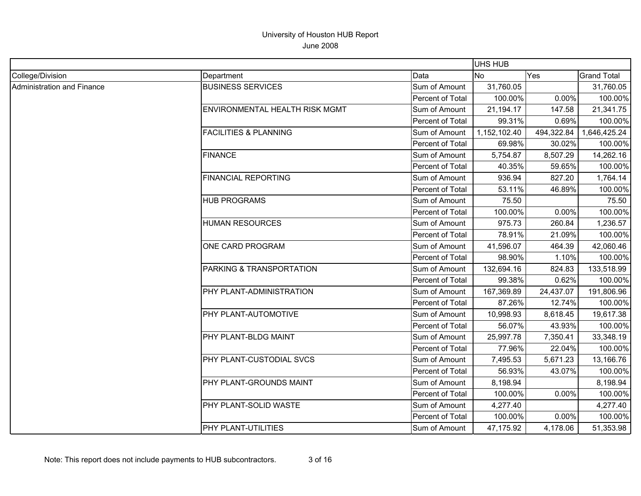|                            |                                       |                         | <b>UHS HUB</b> |            |                    |
|----------------------------|---------------------------------------|-------------------------|----------------|------------|--------------------|
| College/Division           | Department                            | Data                    | <b>No</b>      | Yes        | <b>Grand Total</b> |
| Administration and Finance | <b>BUSINESS SERVICES</b>              | Sum of Amount           | 31,760.05      |            | 31,760.05          |
|                            |                                       | Percent of Total        | 100.00%        | 0.00%      | 100.00%            |
|                            | <b>ENVIRONMENTAL HEALTH RISK MGMT</b> | Sum of Amount           | 21,194.17      | 147.58     | 21,341.75          |
|                            |                                       | Percent of Total        | 99.31%         | 0.69%      | 100.00%            |
|                            | <b>FACILITIES &amp; PLANNING</b>      | Sum of Amount           | 1,152,102.40   | 494,322.84 | 1,646,425.24       |
|                            |                                       | Percent of Total        | 69.98%         | 30.02%     | 100.00%            |
|                            | <b>FINANCE</b>                        | Sum of Amount           | 5,754.87       | 8,507.29   | 14,262.16          |
|                            |                                       | Percent of Total        | 40.35%         | 59.65%     | 100.00%            |
|                            | <b>FINANCIAL REPORTING</b>            | Sum of Amount           | 936.94         | 827.20     | 1,764.14           |
|                            |                                       | Percent of Total        | 53.11%         | 46.89%     | 100.00%            |
|                            | <b>HUB PROGRAMS</b>                   | Sum of Amount           | 75.50          |            | 75.50              |
|                            |                                       | Percent of Total        | 100.00%        | 0.00%      | 100.00%            |
|                            | <b>HUMAN RESOURCES</b>                | Sum of Amount           | 975.73         | 260.84     | 1,236.57           |
|                            |                                       | Percent of Total        | 78.91%         | 21.09%     | 100.00%            |
|                            | ONE CARD PROGRAM                      | Sum of Amount           | 41,596.07      | 464.39     | 42,060.46          |
|                            |                                       | Percent of Total        | 98.90%         | 1.10%      | 100.00%            |
|                            | PARKING & TRANSPORTATION              | Sum of Amount           | 132,694.16     | 824.83     | 133,518.99         |
|                            |                                       | Percent of Total        | 99.38%         | 0.62%      | 100.00%            |
|                            | PHY PLANT-ADMINISTRATION              | Sum of Amount           | 167,369.89     | 24,437.07  | 191,806.96         |
|                            |                                       | Percent of Total        | 87.26%         | 12.74%     | 100.00%            |
|                            | PHY PLANT-AUTOMOTIVE                  | Sum of Amount           | 10,998.93      | 8,618.45   | 19,617.38          |
|                            |                                       | <b>Percent of Total</b> | 56.07%         | 43.93%     | 100.00%            |
|                            | PHY PLANT-BLDG MAINT                  | Sum of Amount           | 25,997.78      | 7,350.41   | 33,348.19          |
|                            |                                       | Percent of Total        | 77.96%         | 22.04%     | 100.00%            |
|                            | PHY PLANT-CUSTODIAL SVCS              | Sum of Amount           | 7,495.53       | 5,671.23   | 13,166.76          |
|                            |                                       | Percent of Total        | 56.93%         | 43.07%     | 100.00%            |
|                            | PHY PLANT-GROUNDS MAINT               | Sum of Amount           | 8,198.94       |            | 8,198.94           |
|                            |                                       | Percent of Total        | 100.00%        | 0.00%      | 100.00%            |
|                            | PHY PLANT-SOLID WASTE                 | Sum of Amount           | 4,277.40       |            | 4,277.40           |
|                            |                                       | Percent of Total        | 100.00%        | 0.00%      | 100.00%            |
|                            | PHY PLANT-UTILITIES                   | Sum of Amount           | 47,175.92      | 4,178.06   | 51,353.98          |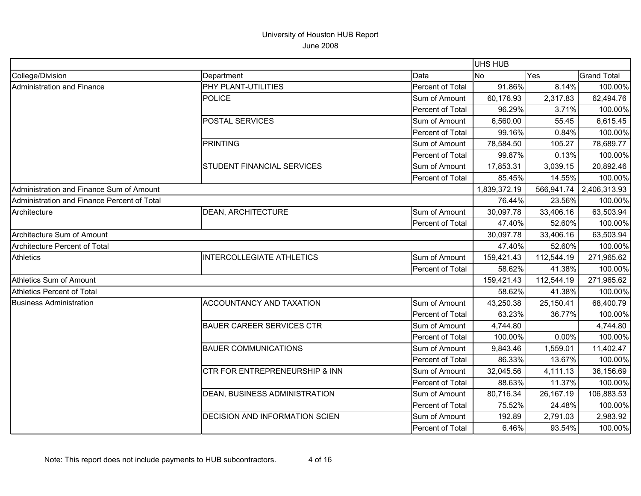|                                             |                                           |                         | <b>UHS HUB</b> |            |                    |
|---------------------------------------------|-------------------------------------------|-------------------------|----------------|------------|--------------------|
| College/Division                            | Department                                | Data                    | <b>No</b>      | Yes        | <b>Grand Total</b> |
| <b>Administration and Finance</b>           | <b>PHY PLANT-UTILITIES</b>                | Percent of Total        | 91.86%         | 8.14%      | 100.00%            |
|                                             | <b>POLICE</b>                             | Sum of Amount           | 60,176.93      | 2,317.83   | 62,494.76          |
|                                             |                                           | Percent of Total        | 96.29%         | 3.71%      | 100.00%            |
|                                             | <b>POSTAL SERVICES</b>                    | Sum of Amount           | 6,560.00       | 55.45      | 6,615.45           |
|                                             |                                           | Percent of Total        | 99.16%         | 0.84%      | 100.00%            |
|                                             | <b>PRINTING</b>                           | Sum of Amount           | 78,584.50      | 105.27     | 78,689.77          |
|                                             |                                           | Percent of Total        | 99.87%         | 0.13%      | 100.00%            |
|                                             | <b>STUDENT FINANCIAL SERVICES</b>         | Sum of Amount           | 17,853.31      | 3,039.15   | 20,892.46          |
|                                             |                                           | Percent of Total        | 85.45%         | 14.55%     | 100.00%            |
| Administration and Finance Sum of Amount    |                                           |                         | 1,839,372.19   | 566,941.74 | 2,406,313.93       |
| Administration and Finance Percent of Total |                                           |                         | 76.44%         | 23.56%     | 100.00%            |
| Architecture                                | <b>DEAN, ARCHITECTURE</b>                 | Sum of Amount           | 30,097.78      | 33,406.16  | 63,503.94          |
|                                             |                                           | Percent of Total        | 47.40%         | 52.60%     | 100.00%            |
| Architecture Sum of Amount                  |                                           |                         | 30,097.78      | 33,406.16  | 63,503.94          |
| Architecture Percent of Total               |                                           |                         | 47.40%         | 52.60%     | 100.00%            |
| <b>Athletics</b>                            | <b>INTERCOLLEGIATE ATHLETICS</b>          | Sum of Amount           | 159,421.43     | 112,544.19 | 271,965.62         |
|                                             |                                           | Percent of Total        | 58.62%         | 41.38%     | 100.00%            |
| <b>Athletics Sum of Amount</b>              |                                           |                         | 159,421.43     | 112,544.19 | 271,965.62         |
| <b>Athletics Percent of Total</b>           |                                           |                         | 58.62%         | 41.38%     | 100.00%            |
| <b>Business Administration</b>              | <b>ACCOUNTANCY AND TAXATION</b>           | Sum of Amount           | 43,250.38      | 25,150.41  | 68,400.79          |
|                                             |                                           | <b>Percent of Total</b> | 63.23%         | 36.77%     | 100.00%            |
|                                             | <b>BAUER CAREER SERVICES CTR</b>          | Sum of Amount           | 4,744.80       |            | 4,744.80           |
|                                             |                                           | Percent of Total        | 100.00%        | 0.00%      | 100.00%            |
|                                             | <b>BAUER COMMUNICATIONS</b>               | Sum of Amount           | 9,843.46       | 1,559.01   | 11,402.47          |
|                                             |                                           | Percent of Total        | 86.33%         | 13.67%     | 100.00%            |
|                                             | <b>CTR FOR ENTREPRENEURSHIP &amp; INN</b> | Sum of Amount           | 32,045.56      | 4,111.13   | 36,156.69          |
|                                             |                                           | Percent of Total        | 88.63%         | 11.37%     | 100.00%            |
|                                             | <b>DEAN, BUSINESS ADMINISTRATION</b>      | Sum of Amount           | 80,716.34      | 26,167.19  | 106,883.53         |
|                                             |                                           | Percent of Total        | 75.52%         | 24.48%     | 100.00%            |
|                                             | <b>DECISION AND INFORMATION SCIEN</b>     | Sum of Amount           | 192.89         | 2,791.03   | 2,983.92           |
|                                             |                                           | Percent of Total        | 6.46%          | 93.54%     | 100.00%            |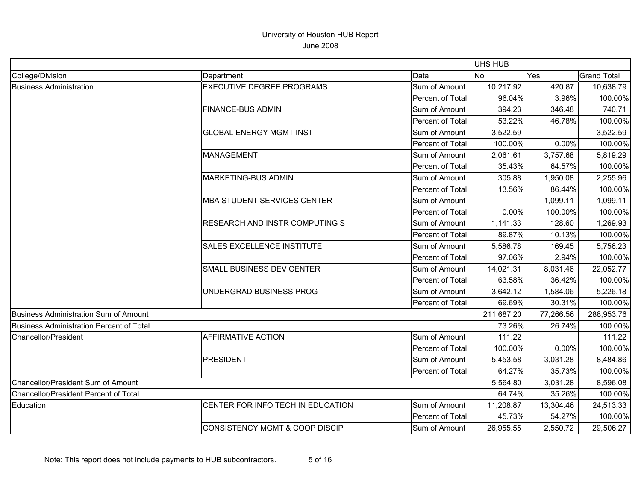|                                          |                                           |                  | <b>UHS HUB</b> |           |                    |
|------------------------------------------|-------------------------------------------|------------------|----------------|-----------|--------------------|
| College/Division                         | Department                                | Data             | <b>No</b>      | Yes       | <b>Grand Total</b> |
| <b>Business Administration</b>           | <b>EXECUTIVE DEGREE PROGRAMS</b>          | Sum of Amount    | 10,217.92      | 420.87    | 10,638.79          |
|                                          |                                           | Percent of Total | 96.04%         | 3.96%     | 100.00%            |
|                                          | <b>FINANCE-BUS ADMIN</b>                  | Sum of Amount    | 394.23         | 346.48    | 740.71             |
|                                          |                                           | Percent of Total | 53.22%         | 46.78%    | 100.00%            |
|                                          | <b>GLOBAL ENERGY MGMT INST</b>            | Sum of Amount    | 3,522.59       |           | 3,522.59           |
|                                          |                                           | Percent of Total | 100.00%        | 0.00%     | 100.00%            |
|                                          | <b>MANAGEMENT</b>                         | Sum of Amount    | 2,061.61       | 3,757.68  | 5,819.29           |
|                                          |                                           | Percent of Total | 35.43%         | 64.57%    | 100.00%            |
|                                          | <b>MARKETING-BUS ADMIN</b>                | Sum of Amount    | 305.88         | 1,950.08  | 2,255.96           |
|                                          |                                           | Percent of Total | 13.56%         | 86.44%    | 100.00%            |
|                                          | <b>MBA STUDENT SERVICES CENTER</b>        | Sum of Amount    |                | 1,099.11  | 1,099.11           |
|                                          |                                           | Percent of Total | 0.00%          | 100.00%   | 100.00%            |
|                                          | <b>RESEARCH AND INSTR COMPUTING S</b>     | Sum of Amount    | 1,141.33       | 128.60    | 1,269.93           |
|                                          |                                           | Percent of Total | 89.87%         | 10.13%    | 100.00%            |
|                                          | <b>SALES EXCELLENCE INSTITUTE</b>         | Sum of Amount    | 5,586.78       | 169.45    | 5,756.23           |
|                                          |                                           | Percent of Total | 97.06%         | 2.94%     | 100.00%            |
|                                          | SMALL BUSINESS DEV CENTER                 | Sum of Amount    | 14,021.31      | 8,031.46  | 22,052.77          |
|                                          |                                           | Percent of Total | 63.58%         | 36.42%    | 100.00%            |
|                                          | UNDERGRAD BUSINESS PROG                   | Sum of Amount    | 3,642.12       | 1,584.06  | 5,226.18           |
|                                          |                                           | Percent of Total | 69.69%         | 30.31%    | 100.00%            |
| Business Administration Sum of Amount    |                                           |                  | 211,687.20     | 77,266.56 | 288,953.76         |
| Business Administration Percent of Total |                                           |                  | 73.26%         | 26.74%    | 100.00%            |
| Chancellor/President                     | <b>AFFIRMATIVE ACTION</b>                 | Sum of Amount    | 111.22         |           | 111.22             |
|                                          |                                           | Percent of Total | 100.00%        | 0.00%     | 100.00%            |
|                                          | <b>PRESIDENT</b>                          | Sum of Amount    | 5,453.58       | 3,031.28  | 8,484.86           |
|                                          |                                           | Percent of Total | 64.27%         | 35.73%    | 100.00%            |
| Chancellor/President Sum of Amount       |                                           |                  | 5,564.80       | 3,031.28  | 8,596.08           |
| Chancellor/President Percent of Total    |                                           |                  | 64.74%         | 35.26%    | 100.00%            |
| Education                                | CENTER FOR INFO TECH IN EDUCATION         | Sum of Amount    | 11,208.87      | 13,304.46 | 24,513.33          |
|                                          |                                           | Percent of Total | 45.73%         | 54.27%    | 100.00%            |
|                                          | <b>CONSISTENCY MGMT &amp; COOP DISCIP</b> | Sum of Amount    | 26,955.55      | 2,550.72  | 29,506.27          |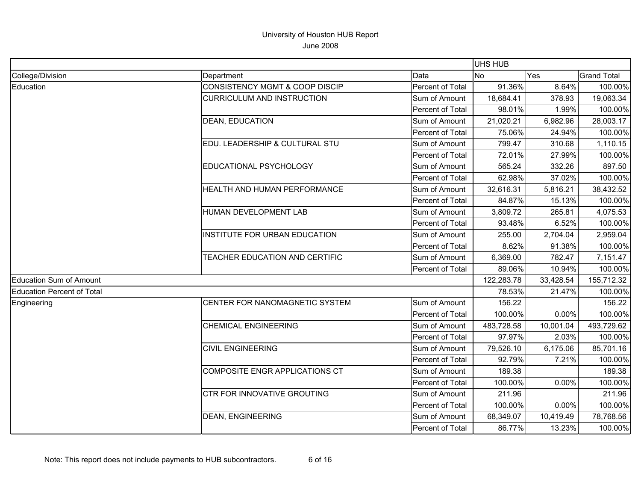|                                |                                           | UHS HUB                 |            |           |                    |
|--------------------------------|-------------------------------------------|-------------------------|------------|-----------|--------------------|
| College/Division               | Department                                | Data                    | <b>No</b>  | Yes       | <b>Grand Total</b> |
| Education                      | <b>CONSISTENCY MGMT &amp; COOP DISCIP</b> | Percent of Total        | 91.36%     | 8.64%     | 100.00%            |
|                                | <b>CURRICULUM AND INSTRUCTION</b>         | Sum of Amount           | 18,684.41  | 378.93    | 19,063.34          |
|                                |                                           | Percent of Total        | 98.01%     | 1.99%     | 100.00%            |
|                                | <b>DEAN, EDUCATION</b>                    | Sum of Amount           | 21,020.21  | 6,982.96  | 28,003.17          |
|                                |                                           | Percent of Total        | 75.06%     | 24.94%    | 100.00%            |
|                                | EDU. LEADERSHIP & CULTURAL STU            | Sum of Amount           | 799.47     | 310.68    | 1,110.15           |
|                                |                                           | Percent of Total        | 72.01%     | 27.99%    | 100.00%            |
|                                | EDUCATIONAL PSYCHOLOGY                    | Sum of Amount           | 565.24     | 332.26    | 897.50             |
|                                |                                           | Percent of Total        | 62.98%     | 37.02%    | 100.00%            |
|                                | HEALTH AND HUMAN PERFORMANCE              | Sum of Amount           | 32,616.31  | 5,816.21  | 38,432.52          |
|                                |                                           | Percent of Total        | 84.87%     | 15.13%    | 100.00%            |
|                                | HUMAN DEVELOPMENT LAB                     | Sum of Amount           | 3,809.72   | 265.81    | 4,075.53           |
|                                |                                           | Percent of Total        | 93.48%     | 6.52%     | 100.00%            |
|                                | INSTITUTE FOR URBAN EDUCATION             | Sum of Amount           | 255.00     | 2,704.04  | 2,959.04           |
|                                |                                           | <b>Percent of Total</b> | 8.62%      | 91.38%    | 100.00%            |
|                                | TEACHER EDUCATION AND CERTIFIC            | Sum of Amount           | 6,369.00   | 782.47    | 7,151.47           |
|                                |                                           | Percent of Total        | 89.06%     | 10.94%    | 100.00%            |
| <b>Education Sum of Amount</b> |                                           |                         | 122,283.78 | 33,428.54 | 155,712.32         |
| Education Percent of Total     |                                           |                         | 78.53%     | 21.47%    | 100.00%            |
| Engineering                    | CENTER FOR NANOMAGNETIC SYSTEM            | Sum of Amount           | 156.22     |           | 156.22             |
|                                |                                           | Percent of Total        | 100.00%    | 0.00%     | 100.00%            |
|                                | <b>CHEMICAL ENGINEERING</b>               | Sum of Amount           | 483,728.58 | 10,001.04 | 493,729.62         |
|                                |                                           | Percent of Total        | 97.97%     | 2.03%     | 100.00%            |
|                                | <b>CIVIL ENGINEERING</b>                  | Sum of Amount           | 79,526.10  | 6,175.06  | 85,701.16          |
|                                |                                           | Percent of Total        | 92.79%     | 7.21%     | 100.00%            |
|                                | COMPOSITE ENGR APPLICATIONS CT            | Sum of Amount           | 189.38     |           | 189.38             |
|                                |                                           | Percent of Total        | 100.00%    | 0.00%     | 100.00%            |
|                                | <b>CTR FOR INNOVATIVE GROUTING</b>        | Sum of Amount           | 211.96     |           | 211.96             |
|                                |                                           | Percent of Total        | 100.00%    | 0.00%     | 100.00%            |
|                                | <b>DEAN, ENGINEERING</b>                  | Sum of Amount           | 68,349.07  | 10,419.49 | 78,768.56          |
|                                |                                           | Percent of Total        | 86.77%     | 13.23%    | 100.00%            |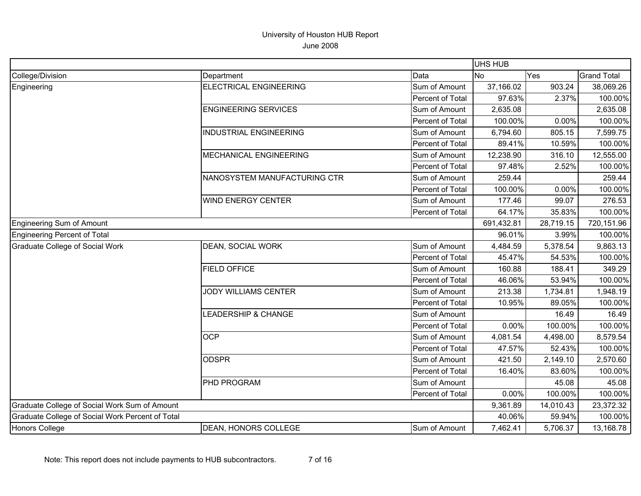|                                                  |                                |                  | UHS HUB   |            |                    |
|--------------------------------------------------|--------------------------------|------------------|-----------|------------|--------------------|
| College/Division                                 | Department                     | Data             | <b>No</b> | Yes        | <b>Grand Total</b> |
| Engineering                                      | <b>ELECTRICAL ENGINEERING</b>  | Sum of Amount    | 37,166.02 | 903.24     | 38,069.26          |
|                                                  |                                | Percent of Total | 97.63%    | 2.37%      | 100.00%            |
|                                                  | <b>ENGINEERING SERVICES</b>    | Sum of Amount    | 2,635.08  |            | 2,635.08           |
|                                                  |                                | Percent of Total | 100.00%   | 0.00%      | 100.00%            |
|                                                  | <b>INDUSTRIAL ENGINEERING</b>  | Sum of Amount    | 6,794.60  | 805.15     | 7,599.75           |
|                                                  |                                | Percent of Total | 89.41%    | 10.59%     | 100.00%            |
|                                                  | MECHANICAL ENGINEERING         | Sum of Amount    | 12,238.90 | 316.10     | 12,555.00          |
|                                                  |                                | Percent of Total | 97.48%    | 2.52%      | 100.00%            |
|                                                  | NANOSYSTEM MANUFACTURING CTR   | Sum of Amount    | 259.44    |            | 259.44             |
|                                                  |                                | Percent of Total | 100.00%   | 0.00%      | 100.00%            |
|                                                  | <b>WIND ENERGY CENTER</b>      | Sum of Amount    | 177.46    | 99.07      | 276.53             |
|                                                  |                                | Percent of Total | 64.17%    | 35.83%     | 100.00%            |
| Engineering Sum of Amount                        |                                | 691,432.81       | 28,719.15 | 720,151.96 |                    |
| Engineering Percent of Total                     |                                |                  | 96.01%    | 3.99%      | 100.00%            |
| <b>Graduate College of Social Work</b>           | <b>DEAN, SOCIAL WORK</b>       | Sum of Amount    | 4,484.59  | 5,378.54   | 9,863.13           |
|                                                  |                                | Percent of Total | 45.47%    | 54.53%     | 100.00%            |
|                                                  | <b>FIELD OFFICE</b>            | Sum of Amount    | 160.88    | 188.41     | 349.29             |
|                                                  |                                | Percent of Total | 46.06%    | 53.94%     | 100.00%            |
|                                                  | <b>JODY WILLIAMS CENTER</b>    | Sum of Amount    | 213.38    | 1,734.81   | 1,948.19           |
|                                                  |                                | Percent of Total | 10.95%    | 89.05%     | 100.00%            |
|                                                  | <b>LEADERSHIP &amp; CHANGE</b> | Sum of Amount    |           | 16.49      | 16.49              |
|                                                  |                                | Percent of Total | 0.00%     | 100.00%    | 100.00%            |
|                                                  | <b>OCP</b>                     | Sum of Amount    | 4,081.54  | 4,498.00   | 8,579.54           |
|                                                  |                                | Percent of Total | 47.57%    | 52.43%     | 100.00%            |
|                                                  | <b>ODSPR</b>                   | Sum of Amount    | 421.50    | 2,149.10   | 2,570.60           |
|                                                  |                                | Percent of Total | 16.40%    | 83.60%     | 100.00%            |
|                                                  | PHD PROGRAM                    | Sum of Amount    |           | 45.08      | 45.08              |
|                                                  |                                | Percent of Total | 0.00%     | 100.00%    | 100.00%            |
| Graduate College of Social Work Sum of Amount    |                                |                  | 9,361.89  | 14,010.43  | 23,372.32          |
| Graduate College of Social Work Percent of Total |                                |                  | 40.06%    | 59.94%     | 100.00%            |
| Honors College                                   | <b>DEAN, HONORS COLLEGE</b>    | Sum of Amount    | 7,462.41  | 5,706.37   | 13,168.78          |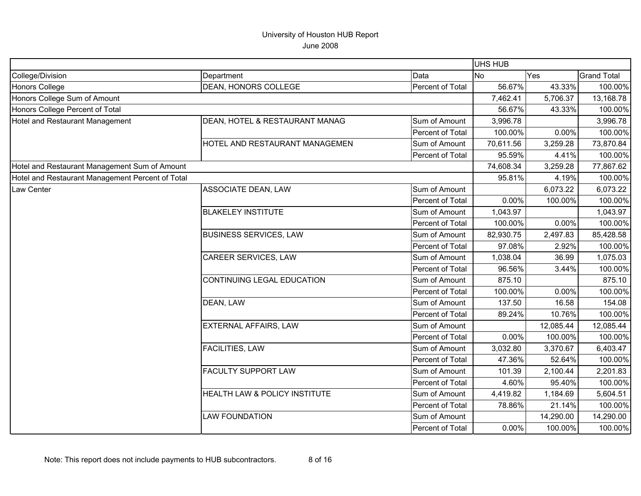|                                                  |                                |                         | UHS HUB   |           |                    |
|--------------------------------------------------|--------------------------------|-------------------------|-----------|-----------|--------------------|
| College/Division                                 | Department                     | Data                    | <b>No</b> | Yes       | <b>Grand Total</b> |
| Honors College                                   | DEAN, HONORS COLLEGE           | Percent of Total        | 56.67%    | 43.33%    | 100.00%            |
| Honors College Sum of Amount                     |                                |                         | 7,462.41  | 5,706.37  | 13,168.78          |
| Honors College Percent of Total                  |                                |                         | 56.67%    | 43.33%    | 100.00%            |
| Hotel and Restaurant Management                  | DEAN, HOTEL & RESTAURANT MANAG | Sum of Amount           | 3,996.78  |           | 3,996.78           |
|                                                  |                                | Percent of Total        | 100.00%   | 0.00%     | 100.00%            |
|                                                  | HOTEL AND RESTAURANT MANAGEMEN | Sum of Amount           | 70,611.56 | 3,259.28  | 73,870.84          |
|                                                  |                                | Percent of Total        | 95.59%    | 4.41%     | 100.00%            |
| Hotel and Restaurant Management Sum of Amount    |                                |                         | 74,608.34 | 3,259.28  | 77,867.62          |
| Hotel and Restaurant Management Percent of Total |                                |                         | 95.81%    | 4.19%     | 100.00%            |
| Law Center                                       | <b>ASSOCIATE DEAN, LAW</b>     | Sum of Amount           |           | 6,073.22  | 6,073.22           |
|                                                  |                                | <b>Percent of Total</b> | 0.00%     | 100.00%   | 100.00%            |
|                                                  | <b>BLAKELEY INSTITUTE</b>      | Sum of Amount           | 1,043.97  |           | 1,043.97           |
|                                                  |                                | Percent of Total        | 100.00%   | 0.00%     | 100.00%            |
|                                                  | <b>BUSINESS SERVICES, LAW</b>  | Sum of Amount           | 82,930.75 | 2,497.83  | 85,428.58          |
|                                                  |                                | Percent of Total        | 97.08%    | 2.92%     | 100.00%            |
|                                                  | <b>CAREER SERVICES, LAW</b>    | Sum of Amount           | 1,038.04  | 36.99     | 1,075.03           |
|                                                  |                                | Percent of Total        | 96.56%    | 3.44%     | 100.00%            |
|                                                  | CONTINUING LEGAL EDUCATION     | Sum of Amount           | 875.10    |           | 875.10             |
|                                                  |                                | <b>Percent of Total</b> | 100.00%   | 0.00%     | 100.00%            |
|                                                  | DEAN, LAW                      | Sum of Amount           | 137.50    | 16.58     | 154.08             |
|                                                  |                                | Percent of Total        | 89.24%    | 10.76%    | 100.00%            |
|                                                  | EXTERNAL AFFAIRS, LAW          | Sum of Amount           |           | 12,085.44 | 12,085.44          |
|                                                  |                                | Percent of Total        | 0.00%     | 100.00%   | 100.00%            |
|                                                  | <b>FACILITIES, LAW</b>         | Sum of Amount           | 3,032.80  | 3,370.67  | 6,403.47           |
|                                                  |                                | Percent of Total        | 47.36%    | 52.64%    | 100.00%            |
|                                                  | <b>FACULTY SUPPORT LAW</b>     | Sum of Amount           | 101.39    | 2,100.44  | 2,201.83           |
|                                                  |                                | Percent of Total        | 4.60%     | 95.40%    | 100.00%            |
|                                                  | HEALTH LAW & POLICY INSTITUTE  | Sum of Amount           | 4,419.82  | 1,184.69  | 5,604.51           |
|                                                  |                                | Percent of Total        | 78.86%    | 21.14%    | 100.00%            |
|                                                  | <b>LAW FOUNDATION</b>          | Sum of Amount           |           | 14,290.00 | 14,290.00          |
|                                                  |                                | Percent of Total        | 0.00%     | 100.00%   | 100.00%            |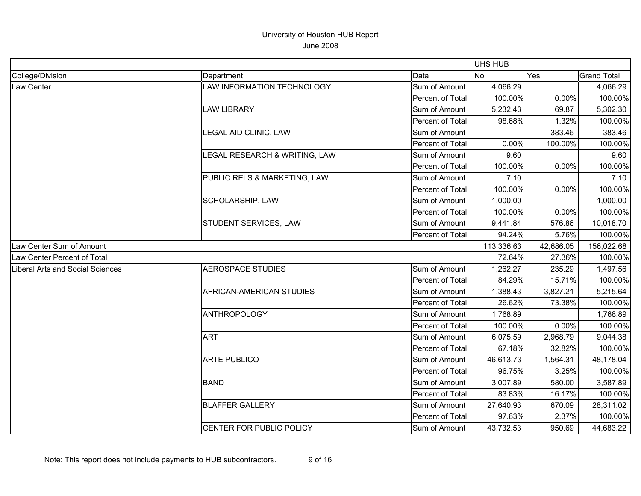|                                  |                                 |                  | UHS HUB    |           |                    |
|----------------------------------|---------------------------------|------------------|------------|-----------|--------------------|
| College/Division                 | Department                      | Data             | No         | Yes       | <b>Grand Total</b> |
| Law Center                       | LAW INFORMATION TECHNOLOGY      | Sum of Amount    | 4,066.29   |           | 4,066.29           |
|                                  |                                 | Percent of Total | 100.00%    | 0.00%     | 100.00%            |
|                                  | <b>LAW LIBRARY</b>              | Sum of Amount    | 5,232.43   | 69.87     | 5,302.30           |
|                                  |                                 | Percent of Total | 98.68%     | 1.32%     | 100.00%            |
|                                  | LEGAL AID CLINIC, LAW           | Sum of Amount    |            | 383.46    | 383.46             |
|                                  |                                 | Percent of Total | 0.00%      | 100.00%   | 100.00%            |
|                                  | LEGAL RESEARCH & WRITING, LAW   | Sum of Amount    | 9.60       |           | 9.60               |
|                                  |                                 | Percent of Total | 100.00%    | 0.00%     | 100.00%            |
|                                  | PUBLIC RELS & MARKETING, LAW    | Sum of Amount    | 7.10       |           | 7.10               |
|                                  |                                 | Percent of Total | 100.00%    | 0.00%     | 100.00%            |
|                                  | SCHOLARSHIP, LAW                | Sum of Amount    | 1,000.00   |           | 1,000.00           |
|                                  |                                 | Percent of Total | 100.00%    | 0.00%     | 100.00%            |
|                                  | STUDENT SERVICES, LAW           | Sum of Amount    | 9,441.84   | 576.86    | 10,018.70          |
|                                  |                                 | Percent of Total | 94.24%     | 5.76%     | 100.00%            |
| Law Center Sum of Amount         |                                 |                  | 113,336.63 | 42,686.05 | 156,022.68         |
| Law Center Percent of Total      |                                 |                  | 72.64%     | 27.36%    | 100.00%            |
| Liberal Arts and Social Sciences | <b>AEROSPACE STUDIES</b>        | Sum of Amount    | 1,262.27   | 235.29    | 1,497.56           |
|                                  |                                 | Percent of Total | 84.29%     | 15.71%    | 100.00%            |
|                                  | <b>AFRICAN-AMERICAN STUDIES</b> | Sum of Amount    | 1,388.43   | 3,827.21  | 5,215.64           |
|                                  |                                 | Percent of Total | 26.62%     | 73.38%    | 100.00%            |
|                                  | <b>ANTHROPOLOGY</b>             | Sum of Amount    | 1,768.89   |           | 1,768.89           |
|                                  |                                 | Percent of Total | 100.00%    | 0.00%     | 100.00%            |
|                                  | <b>ART</b>                      | Sum of Amount    | 6,075.59   | 2,968.79  | 9,044.38           |
|                                  |                                 | Percent of Total | 67.18%     | 32.82%    | 100.00%            |
|                                  | <b>ARTE PUBLICO</b>             | Sum of Amount    | 46,613.73  | 1,564.31  | 48,178.04          |
|                                  |                                 | Percent of Total | 96.75%     | 3.25%     | 100.00%            |
|                                  | <b>BAND</b>                     | Sum of Amount    | 3,007.89   | 580.00    | 3,587.89           |
|                                  |                                 | Percent of Total | 83.83%     | 16.17%    | 100.00%            |
|                                  | <b>BLAFFER GALLERY</b>          | Sum of Amount    | 27,640.93  | 670.09    | 28,311.02          |
|                                  |                                 | Percent of Total | 97.63%     | 2.37%     | 100.00%            |
|                                  | <b>CENTER FOR PUBLIC POLICY</b> | Sum of Amount    | 43,732.53  | 950.69    | 44,683.22          |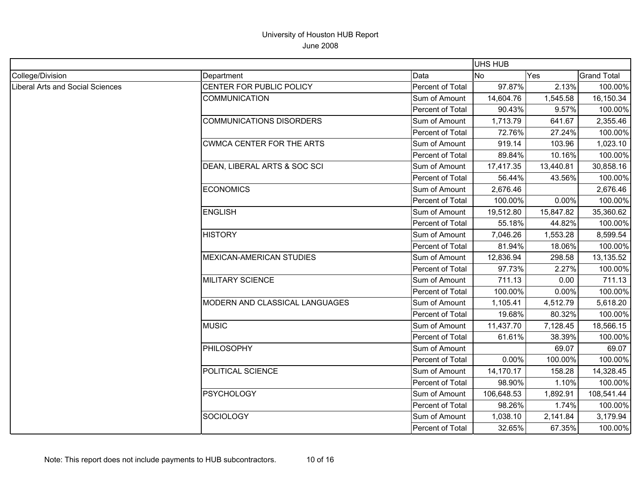|                                         |                                  |                  | UHS HUB    |           |                    |
|-----------------------------------------|----------------------------------|------------------|------------|-----------|--------------------|
| College/Division                        | Department                       | Data             | <b>No</b>  | Yes       | <b>Grand Total</b> |
| <b>Liberal Arts and Social Sciences</b> | CENTER FOR PUBLIC POLICY         | Percent of Total | 97.87%     | 2.13%     | 100.00%            |
|                                         | <b>COMMUNICATION</b>             | Sum of Amount    | 14,604.76  | 1,545.58  | 16,150.34          |
|                                         |                                  | Percent of Total | 90.43%     | 9.57%     | 100.00%            |
|                                         | <b>COMMUNICATIONS DISORDERS</b>  | Sum of Amount    | 1,713.79   | 641.67    | 2,355.46           |
|                                         |                                  | Percent of Total | 72.76%     | 27.24%    | 100.00%            |
|                                         | <b>CWMCA CENTER FOR THE ARTS</b> | Sum of Amount    | 919.14     | 103.96    | 1,023.10           |
|                                         |                                  | Percent of Total | 89.84%     | 10.16%    | 100.00%            |
|                                         | DEAN, LIBERAL ARTS & SOC SCI     | Sum of Amount    | 17,417.35  | 13,440.81 | 30,858.16          |
|                                         |                                  | Percent of Total | 56.44%     | 43.56%    | 100.00%            |
|                                         | <b>ECONOMICS</b>                 | Sum of Amount    | 2,676.46   |           | 2,676.46           |
|                                         |                                  | Percent of Total | 100.00%    | 0.00%     | 100.00%            |
|                                         | <b>ENGLISH</b>                   | Sum of Amount    | 19,512.80  | 15,847.82 | 35,360.62          |
|                                         |                                  | Percent of Total | 55.18%     | 44.82%    | 100.00%            |
|                                         | <b>HISTORY</b>                   | Sum of Amount    | 7,046.26   | 1,553.28  | 8,599.54           |
|                                         |                                  | Percent of Total | 81.94%     | 18.06%    | 100.00%            |
|                                         | <b>MEXICAN-AMERICAN STUDIES</b>  | Sum of Amount    | 12,836.94  | 298.58    | 13,135.52          |
|                                         |                                  | Percent of Total | 97.73%     | 2.27%     | 100.00%            |
|                                         | <b>MILITARY SCIENCE</b>          | Sum of Amount    | 711.13     | 0.00      | 711.13             |
|                                         |                                  | Percent of Total | 100.00%    | 0.00%     | 100.00%            |
|                                         | MODERN AND CLASSICAL LANGUAGES   | Sum of Amount    | 1,105.41   | 4,512.79  | 5,618.20           |
|                                         |                                  | Percent of Total | 19.68%     | 80.32%    | 100.00%            |
|                                         | <b>MUSIC</b>                     | Sum of Amount    | 11,437.70  | 7,128.45  | 18,566.15          |
|                                         |                                  | Percent of Total | 61.61%     | 38.39%    | 100.00%            |
|                                         | <b>PHILOSOPHY</b>                | Sum of Amount    |            | 69.07     | 69.07              |
|                                         |                                  | Percent of Total | 0.00%      | 100.00%   | 100.00%            |
|                                         | POLITICAL SCIENCE                | Sum of Amount    | 14,170.17  | 158.28    | 14,328.45          |
|                                         |                                  | Percent of Total | 98.90%     | 1.10%     | 100.00%            |
|                                         | <b>PSYCHOLOGY</b>                | Sum of Amount    | 106,648.53 | 1,892.91  | 108,541.44         |
|                                         |                                  | Percent of Total | 98.26%     | 1.74%     | 100.00%            |
|                                         | <b>SOCIOLOGY</b>                 | Sum of Amount    | 1,038.10   | 2,141.84  | 3,179.94           |
|                                         |                                  | Percent of Total | 32.65%     | 67.35%    | 100.00%            |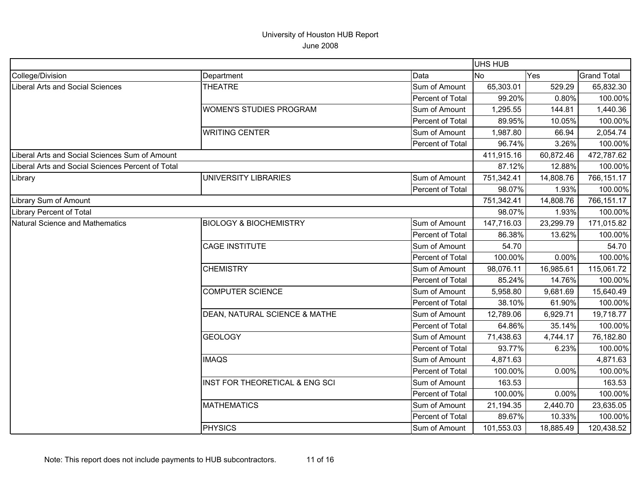|                                                   |                                   |                  | UHS HUB    |           |                    |
|---------------------------------------------------|-----------------------------------|------------------|------------|-----------|--------------------|
| College/Division                                  | Department                        | Data             | No.        | Yes       | <b>Grand Total</b> |
| Liberal Arts and Social Sciences                  | <b>THEATRE</b>                    | Sum of Amount    | 65,303.01  | 529.29    | 65,832.30          |
|                                                   |                                   | Percent of Total | 99.20%     | 0.80%     | 100.00%            |
|                                                   | WOMEN'S STUDIES PROGRAM           | Sum of Amount    | 1,295.55   | 144.81    | 1,440.36           |
|                                                   |                                   | Percent of Total | 89.95%     | 10.05%    | 100.00%            |
|                                                   | <b>WRITING CENTER</b>             | Sum of Amount    | 1,987.80   | 66.94     | 2,054.74           |
|                                                   |                                   | Percent of Total | 96.74%     | 3.26%     | 100.00%            |
| iberal Arts and Social Sciences Sum of Amount     |                                   |                  | 411,915.16 | 60,872.46 | 472,787.62         |
| Liberal Arts and Social Sciences Percent of Total |                                   |                  | 87.12%     | 12.88%    | 100.00%            |
| Library                                           | <b>UNIVERSITY LIBRARIES</b>       | Sum of Amount    | 751,342.41 | 14,808.76 | 766,151.17         |
|                                                   |                                   | Percent of Total | 98.07%     | 1.93%     | 100.00%            |
| Library Sum of Amount                             |                                   |                  | 751,342.41 | 14,808.76 | 766,151.17         |
| Library Percent of Total                          |                                   |                  | 98.07%     | 1.93%     | 100.00%            |
| <b>Natural Science and Mathematics</b>            | <b>BIOLOGY &amp; BIOCHEMISTRY</b> | Sum of Amount    | 147,716.03 | 23,299.79 | 171,015.82         |
|                                                   |                                   | Percent of Total | 86.38%     | 13.62%    | 100.00%            |
|                                                   | <b>CAGE INSTITUTE</b>             | Sum of Amount    | 54.70      |           | 54.70              |
|                                                   |                                   | Percent of Total | 100.00%    | 0.00%     | 100.00%            |
|                                                   | <b>CHEMISTRY</b>                  | Sum of Amount    | 98,076.11  | 16,985.61 | 115,061.72         |
|                                                   |                                   | Percent of Total | 85.24%     | 14.76%    | 100.00%            |
|                                                   | <b>COMPUTER SCIENCE</b>           | Sum of Amount    | 5,958.80   | 9,681.69  | 15,640.49          |
|                                                   |                                   | Percent of Total | 38.10%     | 61.90%    | 100.00%            |
|                                                   | DEAN, NATURAL SCIENCE & MATHE     | Sum of Amount    | 12,789.06  | 6,929.71  | 19,718.77          |
|                                                   |                                   | Percent of Total | 64.86%     | 35.14%    | 100.00%            |
|                                                   | <b>GEOLOGY</b>                    | Sum of Amount    | 71,438.63  | 4,744.17  | 76,182.80          |
|                                                   |                                   | Percent of Total | 93.77%     | 6.23%     | 100.00%            |
|                                                   | <b>IMAQS</b>                      | Sum of Amount    | 4,871.63   |           | 4,871.63           |
|                                                   |                                   | Percent of Total | 100.00%    | 0.00%     | 100.00%            |
|                                                   | INST FOR THEORETICAL & ENG SCI    | Sum of Amount    | 163.53     |           | 163.53             |
|                                                   |                                   | Percent of Total | 100.00%    | 0.00%     | 100.00%            |
|                                                   | <b>MATHEMATICS</b>                | Sum of Amount    | 21,194.35  | 2,440.70  | 23,635.05          |
|                                                   |                                   | Percent of Total | 89.67%     | 10.33%    | 100.00%            |
|                                                   | <b>PHYSICS</b>                    | Sum of Amount    | 101,553.03 | 18,885.49 | 120,438.52         |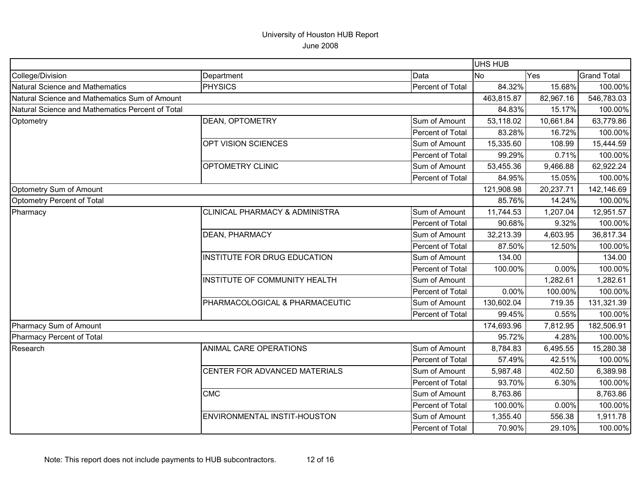|                                                  |                                           |                         | <b>UHS HUB</b> |           |                    |
|--------------------------------------------------|-------------------------------------------|-------------------------|----------------|-----------|--------------------|
| College/Division                                 | Department                                | Data                    | <b>No</b>      | Yes       | <b>Grand Total</b> |
| Natural Science and Mathematics                  | <b>PHYSICS</b>                            | Percent of Total        | 84.32%         | 15.68%    | 100.00%            |
| Natural Science and Mathematics Sum of Amount    |                                           |                         | 463,815.87     | 82,967.16 | 546,783.03         |
| Natural Science and Mathematics Percent of Total |                                           |                         | 84.83%         | 15.17%    | 100.00%            |
| Optometry                                        | <b>DEAN, OPTOMETRY</b>                    | Sum of Amount           | 53,118.02      | 10,661.84 | 63,779.86          |
|                                                  |                                           | Percent of Total        | 83.28%         | 16.72%    | 100.00%            |
|                                                  | OPT VISION SCIENCES                       | Sum of Amount           | 15,335.60      | 108.99    | 15,444.59          |
|                                                  |                                           | Percent of Total        | 99.29%         | 0.71%     | 100.00%            |
|                                                  | OPTOMETRY CLINIC                          | Sum of Amount           | 53,455.36      | 9,466.88  | 62,922.24          |
|                                                  |                                           | Percent of Total        | 84.95%         | 15.05%    | 100.00%            |
| Optometry Sum of Amount                          |                                           |                         | 121,908.98     | 20,237.71 | 142,146.69         |
| Optometry Percent of Total                       |                                           |                         | 85.76%         | 14.24%    | 100.00%            |
| Pharmacy                                         | <b>CLINICAL PHARMACY &amp; ADMINISTRA</b> | Sum of Amount           | 11,744.53      | 1,207.04  | 12,951.57          |
|                                                  |                                           | Percent of Total        | 90.68%         | 9.32%     | 100.00%            |
|                                                  | <b>DEAN, PHARMACY</b>                     | Sum of Amount           | 32,213.39      | 4,603.95  | 36,817.34          |
|                                                  |                                           | Percent of Total        | 87.50%         | 12.50%    | 100.00%            |
|                                                  | <b>INSTITUTE FOR DRUG EDUCATION</b>       | Sum of Amount           | 134.00         |           | 134.00             |
|                                                  |                                           | Percent of Total        | 100.00%        | 0.00%     | 100.00%            |
|                                                  | <b>INSTITUTE OF COMMUNITY HEALTH</b>      | Sum of Amount           |                | 1,282.61  | 1,282.61           |
|                                                  |                                           | Percent of Total        | 0.00%          | 100.00%   | 100.00%            |
|                                                  | PHARMACOLOGICAL & PHARMACEUTIC            | Sum of Amount           | 130,602.04     | 719.35    | 131,321.39         |
|                                                  |                                           | Percent of Total        | 99.45%         | 0.55%     | 100.00%            |
| Pharmacy Sum of Amount                           |                                           |                         | 174,693.96     | 7,812.95  | 182,506.91         |
| Pharmacy Percent of Total                        |                                           |                         | 95.72%         | 4.28%     | 100.00%            |
| Research                                         | <b>ANIMAL CARE OPERATIONS</b>             | Sum of Amount           | 8,784.83       | 6,495.55  | 15,280.38          |
|                                                  |                                           | <b>Percent of Total</b> | 57.49%         | 42.51%    | 100.00%            |
|                                                  | CENTER FOR ADVANCED MATERIALS             | Sum of Amount           | 5,987.48       | 402.50    | 6,389.98           |
|                                                  |                                           | Percent of Total        | 93.70%         | 6.30%     | 100.00%            |
|                                                  | <b>CMC</b>                                | Sum of Amount           | 8,763.86       |           | 8,763.86           |
|                                                  |                                           | Percent of Total        | 100.00%        | 0.00%     | 100.00%            |
|                                                  | ENVIRONMENTAL INSTIT-HOUSTON              | Sum of Amount           | 1,355.40       | 556.38    | 1,911.78           |
|                                                  |                                           | Percent of Total        | 70.90%         | 29.10%    | 100.00%            |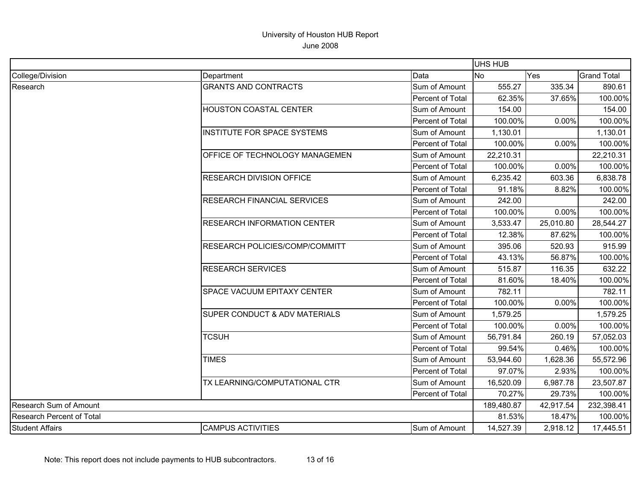|                                  |                                          |                  | <b>UHS HUB</b> |           |                    |
|----------------------------------|------------------------------------------|------------------|----------------|-----------|--------------------|
| College/Division                 | Department                               | Data             | <b>No</b>      | Yes       | <b>Grand Total</b> |
| Research                         | <b>GRANTS AND CONTRACTS</b>              | Sum of Amount    | 555.27         | 335.34    | 890.61             |
|                                  |                                          | Percent of Total | 62.35%         | 37.65%    | 100.00%            |
|                                  | HOUSTON COASTAL CENTER                   | Sum of Amount    | 154.00         |           | 154.00             |
|                                  |                                          | Percent of Total | 100.00%        | 0.00%     | 100.00%            |
|                                  | <b>INSTITUTE FOR SPACE SYSTEMS</b>       | Sum of Amount    | 1,130.01       |           | 1,130.01           |
|                                  |                                          | Percent of Total | 100.00%        | 0.00%     | 100.00%            |
|                                  | OFFICE OF TECHNOLOGY MANAGEMEN           | Sum of Amount    | 22,210.31      |           | 22,210.31          |
|                                  |                                          | Percent of Total | 100.00%        | 0.00%     | 100.00%            |
|                                  | <b>RESEARCH DIVISION OFFICE</b>          | Sum of Amount    | 6,235.42       | 603.36    | 6,838.78           |
|                                  |                                          | Percent of Total | 91.18%         | 8.82%     | 100.00%            |
|                                  | <b>RESEARCH FINANCIAL SERVICES</b>       | Sum of Amount    | 242.00         |           | 242.00             |
|                                  |                                          | Percent of Total | 100.00%        | 0.00%     | 100.00%            |
|                                  | <b>RESEARCH INFORMATION CENTER</b>       | Sum of Amount    | 3,533.47       | 25,010.80 | 28,544.27          |
|                                  |                                          | Percent of Total | 12.38%         | 87.62%    | 100.00%            |
|                                  | <b>RESEARCH POLICIES/COMP/COMMITT</b>    | Sum of Amount    | 395.06         | 520.93    | 915.99             |
|                                  |                                          | Percent of Total | 43.13%         | 56.87%    | 100.00%            |
|                                  | <b>RESEARCH SERVICES</b>                 | Sum of Amount    | 515.87         | 116.35    | 632.22             |
|                                  |                                          | Percent of Total | 81.60%         | 18.40%    | 100.00%            |
|                                  | <b>SPACE VACUUM EPITAXY CENTER</b>       | Sum of Amount    | 782.11         |           | 782.11             |
|                                  |                                          | Percent of Total | 100.00%        | 0.00%     | 100.00%            |
|                                  | <b>SUPER CONDUCT &amp; ADV MATERIALS</b> | Sum of Amount    | 1,579.25       |           | 1,579.25           |
|                                  |                                          | Percent of Total | 100.00%        | 0.00%     | 100.00%            |
|                                  | <b>TCSUH</b>                             | Sum of Amount    | 56,791.84      | 260.19    | 57,052.03          |
|                                  |                                          | Percent of Total | 99.54%         | 0.46%     | 100.00%            |
|                                  | <b>TIMES</b>                             | Sum of Amount    | 53,944.60      | 1,628.36  | 55,572.96          |
|                                  |                                          | Percent of Total | 97.07%         | 2.93%     | 100.00%            |
|                                  | TX LEARNING/COMPUTATIONAL CTR            | Sum of Amount    | 16,520.09      | 6,987.78  | 23,507.87          |
|                                  |                                          | Percent of Total | 70.27%         | 29.73%    | 100.00%            |
| Research Sum of Amount           |                                          |                  | 189,480.87     | 42,917.54 | 232,398.41         |
| <b>Research Percent of Total</b> |                                          |                  | 81.53%         | 18.47%    | 100.00%            |
| <b>Student Affairs</b>           | <b>CAMPUS ACTIVITIES</b>                 | Sum of Amount    | 14,527.39      | 2,918.12  | 17,445.51          |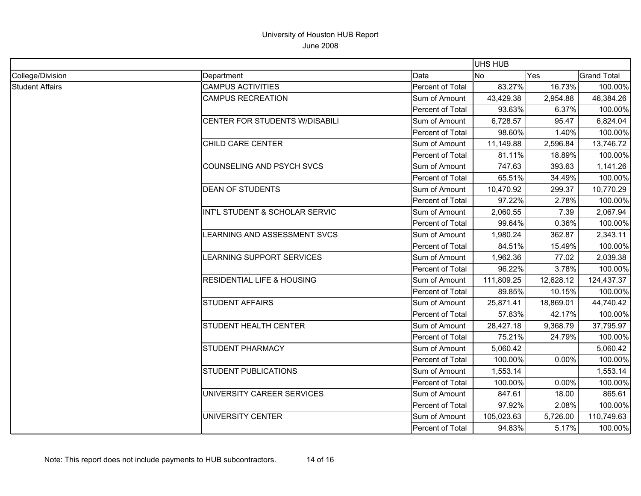|                        |                                       |                  | <b>UHS HUB</b> |           |                    |
|------------------------|---------------------------------------|------------------|----------------|-----------|--------------------|
| College/Division       | Department                            | Data             | <b>No</b>      | Yes       | <b>Grand Total</b> |
| <b>Student Affairs</b> | <b>CAMPUS ACTIVITIES</b>              | Percent of Total | 83.27%         | 16.73%    | 100.00%            |
|                        | <b>CAMPUS RECREATION</b>              | Sum of Amount    | 43,429.38      | 2,954.88  | 46,384.26          |
|                        |                                       | Percent of Total | 93.63%         | 6.37%     | 100.00%            |
|                        | <b>CENTER FOR STUDENTS W/DISABILI</b> | Sum of Amount    | 6,728.57       | 95.47     | 6,824.04           |
|                        |                                       | Percent of Total | 98.60%         | 1.40%     | 100.00%            |
|                        | <b>CHILD CARE CENTER</b>              | Sum of Amount    | 11,149.88      | 2,596.84  | 13,746.72          |
|                        |                                       | Percent of Total | 81.11%         | 18.89%    | 100.00%            |
|                        | <b>COUNSELING AND PSYCH SVCS</b>      | Sum of Amount    | 747.63         | 393.63    | 1,141.26           |
|                        |                                       | Percent of Total | 65.51%         | 34.49%    | 100.00%            |
|                        | <b>DEAN OF STUDENTS</b>               | Sum of Amount    | 10,470.92      | 299.37    | 10,770.29          |
|                        |                                       | Percent of Total | 97.22%         | 2.78%     | 100.00%            |
|                        | INT'L STUDENT & SCHOLAR SERVIC        | Sum of Amount    | 2,060.55       | 7.39      | 2,067.94           |
|                        |                                       | Percent of Total | 99.64%         | 0.36%     | 100.00%            |
|                        | LEARNING AND ASSESSMENT SVCS          | Sum of Amount    | 1,980.24       | 362.87    | 2,343.11           |
|                        |                                       | Percent of Total | 84.51%         | 15.49%    | 100.00%            |
|                        | <b>LEARNING SUPPORT SERVICES</b>      | Sum of Amount    | 1,962.36       | 77.02     | 2,039.38           |
|                        |                                       | Percent of Total | 96.22%         | 3.78%     | 100.00%            |
|                        | <b>RESIDENTIAL LIFE &amp; HOUSING</b> | Sum of Amount    | 111,809.25     | 12,628.12 | 124,437.37         |
|                        |                                       | Percent of Total | 89.85%         | 10.15%    | 100.00%            |
|                        | <b>STUDENT AFFAIRS</b>                | Sum of Amount    | 25,871.41      | 18,869.01 | 44,740.42          |
|                        |                                       | Percent of Total | 57.83%         | 42.17%    | 100.00%            |
|                        | <b>STUDENT HEALTH CENTER</b>          | Sum of Amount    | 28,427.18      | 9,368.79  | 37,795.97          |
|                        |                                       | Percent of Total | 75.21%         | 24.79%    | 100.00%            |
|                        | <b>STUDENT PHARMACY</b>               | Sum of Amount    | 5,060.42       |           | 5,060.42           |
|                        |                                       | Percent of Total | 100.00%        | 0.00%     | 100.00%            |
|                        | <b>STUDENT PUBLICATIONS</b>           | Sum of Amount    | 1,553.14       |           | 1,553.14           |
|                        |                                       | Percent of Total | 100.00%        | 0.00%     | 100.00%            |
|                        | UNIVERSITY CAREER SERVICES            | Sum of Amount    | 847.61         | 18.00     | 865.61             |
|                        |                                       | Percent of Total | 97.92%         | 2.08%     | 100.00%            |
|                        | UNIVERSITY CENTER                     | Sum of Amount    | 105,023.63     | 5,726.00  | 110,749.63         |
|                        |                                       | Percent of Total | 94.83%         | 5.17%     | 100.00%            |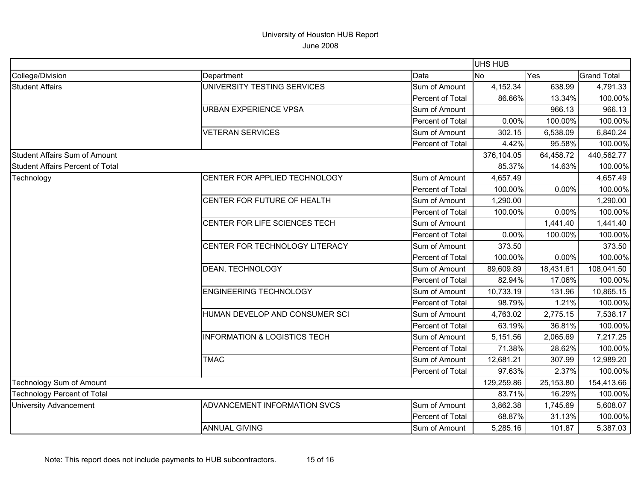|                                    |                                         |                  | <b>UHS HUB</b> |           |                    |
|------------------------------------|-----------------------------------------|------------------|----------------|-----------|--------------------|
| College/Division                   | Department                              | Data             | <b>No</b>      | Yes       | <b>Grand Total</b> |
| <b>Student Affairs</b>             | UNIVERSITY TESTING SERVICES             | Sum of Amount    | 4,152.34       | 638.99    | 4,791.33           |
|                                    |                                         | Percent of Total | 86.66%         | 13.34%    | 100.00%            |
|                                    | <b>URBAN EXPERIENCE VPSA</b>            | Sum of Amount    |                | 966.13    | 966.13             |
|                                    |                                         | Percent of Total | 0.00%          | 100.00%   | 100.00%            |
|                                    | <b>VETERAN SERVICES</b>                 | Sum of Amount    | 302.15         | 6,538.09  | 6,840.24           |
|                                    |                                         | Percent of Total | 4.42%          | 95.58%    | 100.00%            |
| Student Affairs Sum of Amount      |                                         |                  | 376,104.05     | 64,458.72 | 440,562.77         |
| Student Affairs Percent of Total   |                                         |                  | 85.37%         | 14.63%    | 100.00%            |
| Technology                         | CENTER FOR APPLIED TECHNOLOGY           | Sum of Amount    | 4,657.49       |           | 4,657.49           |
|                                    |                                         | Percent of Total | 100.00%        | 0.00%     | 100.00%            |
|                                    | CENTER FOR FUTURE OF HEALTH             | Sum of Amount    | 1,290.00       |           | 1,290.00           |
|                                    |                                         | Percent of Total | 100.00%        | 0.00%     | 100.00%            |
|                                    | CENTER FOR LIFE SCIENCES TECH           | Sum of Amount    |                | 1,441.40  | 1,441.40           |
|                                    |                                         | Percent of Total | 0.00%          | 100.00%   | 100.00%            |
|                                    | CENTER FOR TECHNOLOGY LITERACY          | Sum of Amount    | 373.50         |           | 373.50             |
|                                    |                                         | Percent of Total | 100.00%        | 0.00%     | 100.00%            |
|                                    | DEAN, TECHNOLOGY                        | Sum of Amount    | 89,609.89      | 18,431.61 | 108,041.50         |
|                                    |                                         | Percent of Total | 82.94%         | 17.06%    | 100.00%            |
|                                    | <b>ENGINEERING TECHNOLOGY</b>           | Sum of Amount    | 10,733.19      | 131.96    | 10,865.15          |
|                                    |                                         | Percent of Total | 98.79%         | 1.21%     | 100.00%            |
|                                    | HUMAN DEVELOP AND CONSUMER SCI          | Sum of Amount    | 4,763.02       | 2,775.15  | 7,538.17           |
|                                    |                                         | Percent of Total | 63.19%         | 36.81%    | 100.00%            |
|                                    | <b>INFORMATION &amp; LOGISTICS TECH</b> | Sum of Amount    | 5,151.56       | 2,065.69  | 7,217.25           |
|                                    |                                         | Percent of Total | 71.38%         | 28.62%    | 100.00%            |
|                                    | <b>TMAC</b>                             | Sum of Amount    | 12,681.21      | 307.99    | 12,989.20          |
|                                    |                                         | Percent of Total | 97.63%         | 2.37%     | 100.00%            |
| Technology Sum of Amount           |                                         |                  | 129,259.86     | 25,153.80 | 154,413.66         |
| <b>Technology Percent of Total</b> |                                         |                  | 83.71%         | 16.29%    | 100.00%            |
| <b>University Advancement</b>      | ADVANCEMENT INFORMATION SVCS            | Sum of Amount    | 3,862.38       | 1,745.69  | 5,608.07           |
|                                    |                                         | Percent of Total | 68.87%         | 31.13%    | 100.00%            |
|                                    | <b>ANNUAL GIVING</b>                    | Sum of Amount    | 5,285.16       | 101.87    | 5,387.03           |